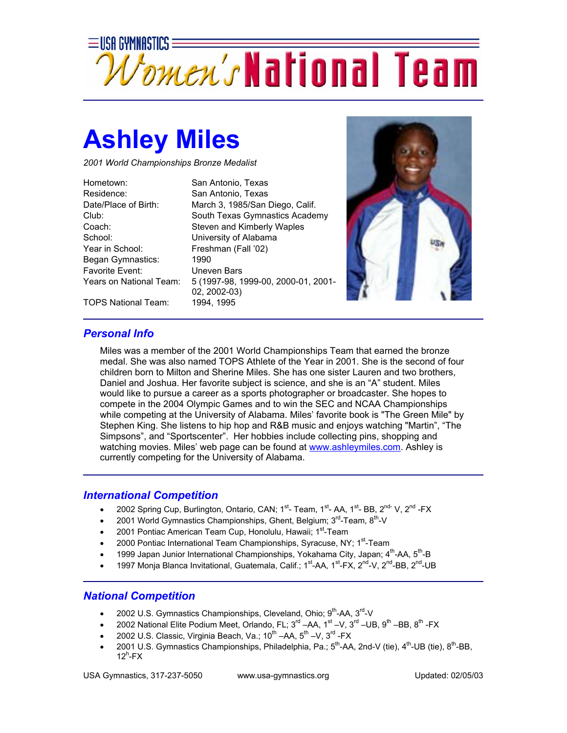

## **Ashley Miles**

*2001 World Championships Bronze Medalist* 

Hometown: San Antonio, Texas Residence: San Antonio, Texas School: University of Alabama Year in School: Freshman (Fall '02) Began Gymnastics: 1990 Favorite Event: Uneven Bars

Date/Place of Birth: March 3, 1985/San Diego, Calif. Club: South Texas Gymnastics Academy Coach: Steven and Kimberly Waples Years on National Team: 5 (1997-98, 1999-00, 2000-01, 2001- 02, 2002-03)



TOPS National Team: 1994, 1995

## *Personal Info*

Miles was a member of the 2001 World Championships Team that earned the bronze medal. She was also named TOPS Athlete of the Year in 2001. She is the second of four children born to Milton and Sherine Miles. She has one sister Lauren and two brothers, Daniel and Joshua. Her favorite subject is science, and she is an "A" student. Miles would like to pursue a career as a sports photographer or broadcaster. She hopes to compete in the 2004 Olympic Games and to win the SEC and NCAA Championships while competing at the University of Alabama. Miles' favorite book is "The Green Mile" by Stephen King. She listens to hip hop and R&B music and enjoys watching "Martin", "The Simpsons", and "Sportscenter". Her hobbies include collecting pins, shopping and watching movies. Miles' web page can be found at www.ashleymiles.com. Ashley is currently competing for the University of Alabama.

## *International Competition*

- 2002 Spring Cup, Burlington, Ontario, CAN; 1<sup>st</sup>- Team, 1<sup>st</sup>- AA, 1<sup>st</sup>- BB, 2<sup>nd-</sup> V, 2<sup>nd</sup>-FX
- 2001 World Gymnastics Championships, Ghent, Belgium;  $3<sup>rd</sup>$ -Team,  $8<sup>th</sup>$ -V
- 2001 Pontiac American Team Cup, Honolulu, Hawaii; 1<sup>st</sup>-Team
- 2000 Pontiac International Team Championships, Syracuse, NY; 1<sup>st</sup>-Team
- 1999 Japan Junior International Championships, Yokahama City, Japan; 4<sup>th</sup>-AA, 5<sup>th</sup>-B
- 1997 Monja Blanca Invitational, Guatemala, Calif.; 1<sup>st</sup>-AA, 1<sup>st</sup>-FX, 2<sup>nd</sup>-V, 2<sup>nd</sup>-BB, 2<sup>nd</sup>-UB

## *National Competition*

- 2002 U.S. Gymnastics Championships, Cleveland, Ohio;  $9<sup>th</sup>$ -AA,  $3<sup>rd</sup>$ -V
- 2002 National Elite Podium Meet, Orlando, FL;  $3^{rd}$  –AA,  $1^{st}$  –V,  $3^{rd}$  –UB,  $9^{th}$  –BB,  $8^{th}$  -FX
- 2002 U.S. Classic, Virginia Beach, Va.; 10<sup>th</sup> –AA, 5<sup>th</sup> –V, 3<sup>rd</sup> -FX
- 2001 U.S. Gymnastics Championships, Philadelphia, Pa.;  $5^{th}$ -AA, 2nd-V (tie),  $4^{th}$ -UB (tie),  $8^{th}$ -BB,  $12^h$ -FX